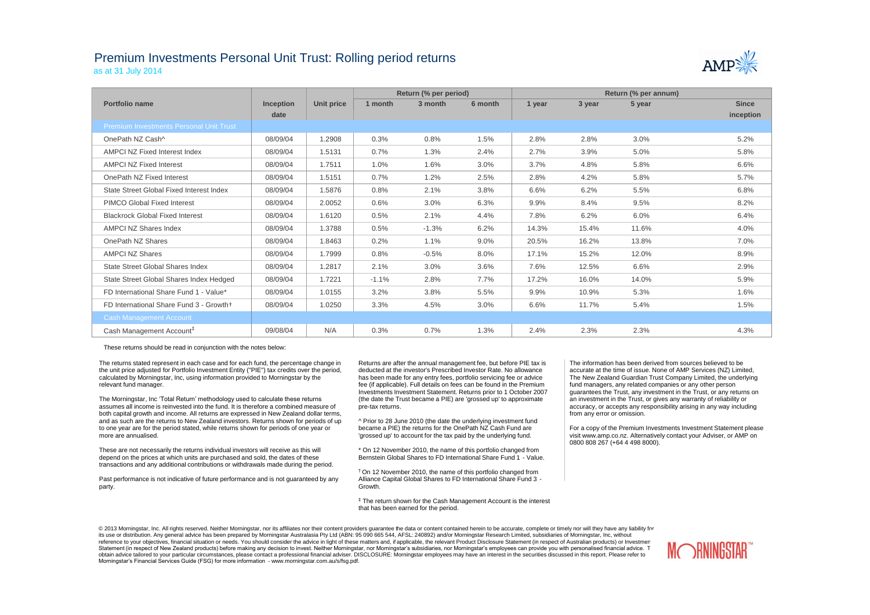## Premium Investments Personal Unit Trust: Rolling period returns as at 31 July 2014



|                                                |                  |            |         | Return (% per period) |         | Return (% per annum) |        |        |              |  |
|------------------------------------------------|------------------|------------|---------|-----------------------|---------|----------------------|--------|--------|--------------|--|
| Portfolio name                                 | <b>Inception</b> | Unit price | 1 month | 3 month               | 6 month | 1 year               | 3 year | 5 year | <b>Since</b> |  |
|                                                | date             |            |         |                       |         |                      |        |        | inception    |  |
| <b>Premium Investments Personal Unit Trust</b> |                  |            |         |                       |         |                      |        |        |              |  |
| OnePath NZ Cash^                               | 08/09/04         | 1.2908     | 0.3%    | 0.8%                  | 1.5%    | 2.8%                 | 2.8%   | 3.0%   | 5.2%         |  |
| <b>AMPCI NZ Fixed Interest Index</b>           | 08/09/04         | 1.5131     | 0.7%    | 1.3%                  | 2.4%    | 2.7%                 | 3.9%   | 5.0%   | 5.8%         |  |
| <b>AMPCI NZ Fixed Interest</b>                 | 08/09/04         | 1.7511     | 1.0%    | 1.6%                  | 3.0%    | 3.7%                 | 4.8%   | 5.8%   | 6.6%         |  |
| OnePath NZ Fixed Interest                      | 08/09/04         | 1.5151     | 0.7%    | 1.2%                  | 2.5%    | 2.8%                 | 4.2%   | 5.8%   | 5.7%         |  |
| State Street Global Fixed Interest Index       | 08/09/04         | 1.5876     | 0.8%    | 2.1%                  | 3.8%    | 6.6%                 | 6.2%   | 5.5%   | 6.8%         |  |
| <b>PIMCO Global Fixed Interest</b>             | 08/09/04         | 2.0052     | 0.6%    | 3.0%                  | 6.3%    | 9.9%                 | 8.4%   | 9.5%   | 8.2%         |  |
| <b>Blackrock Global Fixed Interest</b>         | 08/09/04         | 1.6120     | 0.5%    | 2.1%                  | 4.4%    | 7.8%                 | 6.2%   | 6.0%   | 6.4%         |  |
| <b>AMPCI NZ Shares Index</b>                   | 08/09/04         | 1.3788     | 0.5%    | $-1.3%$               | 6.2%    | 14.3%                | 15.4%  | 11.6%  | 4.0%         |  |
| OnePath NZ Shares                              | 08/09/04         | 1.8463     | 0.2%    | 1.1%                  | $9.0\%$ | 20.5%                | 16.2%  | 13.8%  | 7.0%         |  |
| <b>AMPCI NZ Shares</b>                         | 08/09/04         | 1.7999     | 0.8%    | $-0.5%$               | 8.0%    | 17.1%                | 15.2%  | 12.0%  | 8.9%         |  |
| <b>State Street Global Shares Index</b>        | 08/09/04         | 1.2817     | 2.1%    | 3.0%                  | 3.6%    | 7.6%                 | 12.5%  | 6.6%   | 2.9%         |  |
| State Street Global Shares Index Hedged        | 08/09/04         | 1.7221     | $-1.1%$ | 2.8%                  | 7.7%    | 17.2%                | 16.0%  | 14.0%  | 5.9%         |  |
| FD International Share Fund 1 - Value*         | 08/09/04         | 1.0155     | 3.2%    | 3.8%                  | 5.5%    | 9.9%                 | 10.9%  | 5.3%   | 1.6%         |  |
| FD International Share Fund 3 - Growth+        | 08/09/04         | 1.0250     | 3.3%    | 4.5%                  | 3.0%    | 6.6%                 | 11.7%  | 5.4%   | 1.5%         |  |
| <b>Cash Management Account</b>                 |                  |            |         |                       |         |                      |        |        |              |  |
| Cash Management Account <sup>#</sup>           | 09/08/04         | N/A        | 0.3%    | 0.7%                  | 1.3%    | 2.4%                 | 2.3%   | 2.3%   | 4.3%         |  |

These returns should be read in conjunction with the notes below:

The returns stated represent in each case and for each fund, the percentage change in the unit price adjusted for Portfolio Investment Entity ("PIE") tax credits over the period, calculated by Morningstar, Inc, using information provided to Morningstar by the relevant fund manager.

The Morningstar, Inc 'Total Return' methodology used to calculate these returns assumes all income is reinvested into the fund. It is therefore a combined measure of both capital growth and income. All returns are expressed in New Zealand dollar terms, and as such are the returns to New Zealand investors. Returns shown for periods of up to one year are for the period stated, while returns shown for periods of one year or more are annualised.

These are not necessarily the returns individual investors will receive as this will depend on the prices at which units are purchased and sold, the dates of these transactions and any additional contributions or withdrawals made during the period.

Past performance is not indicative of future performance and is not guaranteed by any party.

Returns are after the annual management fee, but before PIE tax is deducted at the investor's Prescribed Investor Rate. No allowance has been made for any entry fees, portfolio servicing fee or advice fee (if applicable). Full details on fees can be found in the Premium Investments Investment Statement. Returns prior to 1 October 2007 (the date the Trust became a PIE) are 'grossed up' to approximate pre-tax returns.

^ Prior to 28 June 2010 (the date the underlying investment fund became a PIE) the returns for the OnePath NZ Cash Fund are 'grossed up' to account for the tax paid by the underlying fund.

\* On 12 November 2010, the name of this portfolio changed from Bernstein Global Shares to FD International Share Fund 1 - Value.

† On 12 November 2010, the name of this portfolio changed from Alliance Capital Global Shares to FD International Share Fund 3 - Growth.

‡ The return shown for the Cash Management Account is the interest that has been earned for the period.

The information has been derived from sources believed to be accurate at the time of issue. None of AMP Services (NZ) Limited, The New Zealand Guardian Trust Company Limited, the underlying fund managers, any related companies or any other person guarantees the Trust, any investment in the Trust, or any returns on an investment in the Trust, or gives any warranty of reliability or accuracy, or accepts any responsibility arising in any way including from any error or omission.

For a copy of the Premium Investments Investment Statement please visit www.amp.co.nz. Alternatively contact your Adviser, or AMP on 0800 808 267 (+64 4 498 8000).

© 2013 Morningstar, Inc. All rights reserved. Neither Morningstar, nor its affiliates nor their content providers quarantee the data or content contained herein to be accurate, complete or timely nor will they have any lia its use or distribution. Any general advice has been prepared by Morningstar Australasia Pty Ltd (ABN: 95 090 665 544, AFSL: 240892) and/or Morningstar Research Limited, subsidiaries of Morningstar, Inc, without reference to your objectives, financial situation or needs. You should consider the advice in light of these matters and, if applicable, the relevant Product Disclosure Statement (in respect of Australian products) or Inve Statement (in respect of New Zealand products) before making any decision to invest. Neither Morningstar, nor Morningstar's subsidiaries, nor Morningstar's employees can provide you with personalised financial advice. T obtain advice tailored to your particular circumstances, please contact a professional financial adviser. DISCLOSURE: Morningstar employees may have an interest in the securities discussed in this report. Please refer to Morningstar's Financial Services Guide (FSG) for more information - www.morningstar.com.au/s/fsg.pdf.